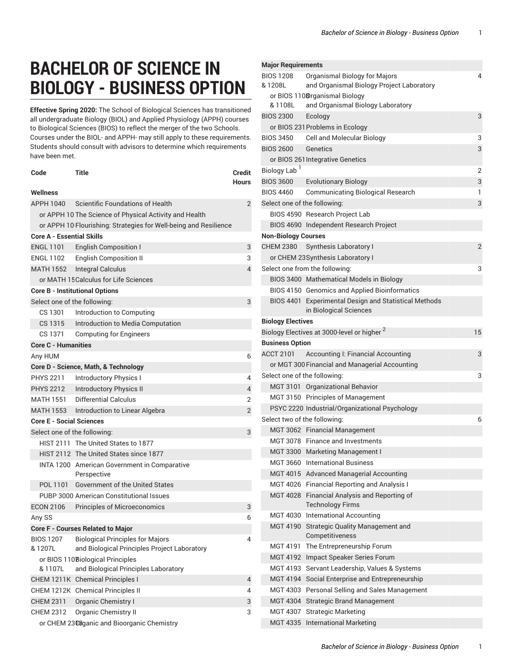## **BACHELOR OF SCIENCE IN BIOLOGY - BUSINESS OPTION**

**Effective Spring 2020:** The School of Biological Sciences has transitioned all undergraduate Biology (BIOL) and Applied Physiology (APPH) courses to Biological Sciences (BIOS) to reflect the merger of the two Schools. Courses under the BIOL- and APPH- may still apply to these requirements. Students should consult with advisors to determine which requirements have been met.

| Code                                  | Title                                                                     | <b>Credit</b><br>Hours |  |
|---------------------------------------|---------------------------------------------------------------------------|------------------------|--|
| Wellness                              |                                                                           |                        |  |
| <b>APPH 1040</b>                      | Scientific Foundations of Health                                          | 2                      |  |
|                                       | or APPH 10 The Science of Physical Activity and Health                    |                        |  |
|                                       | or APPH 10 Flourishing: Strategies for Well-being and Resilience          |                        |  |
| <b>Core A - Essential Skills</b>      |                                                                           |                        |  |
| <b>ENGL 1101</b>                      | <b>English Composition I</b>                                              | 3                      |  |
| ENGL 1102                             | <b>English Composition II</b>                                             | 3                      |  |
|                                       | MATH 1552 Integral Calculus                                               | $\overline{4}$         |  |
|                                       | or MATH 15 Calculus for Life Sciences                                     |                        |  |
| <b>Core B - Institutional Options</b> |                                                                           |                        |  |
| Select one of the following:          |                                                                           | 3                      |  |
| CS 1301                               | Introduction to Computing                                                 |                        |  |
| CS 1315                               | Introduction to Media Computation                                         |                        |  |
| CS 1371                               | <b>Computing for Engineers</b>                                            |                        |  |
| <b>Core C - Humanities</b>            |                                                                           |                        |  |
| Any HUM                               |                                                                           | 6                      |  |
|                                       | Core D - Science, Math, & Technology                                      |                        |  |
| <b>PHYS 2211</b>                      | <b>Introductory Physics I</b>                                             | 4                      |  |
| <b>PHYS 2212</b>                      | <b>Introductory Physics II</b>                                            | $\overline{4}$         |  |
| <b>MATH 1551</b>                      | <b>Differential Calculus</b>                                              | 2                      |  |
|                                       | MATH 1553 Introduction to Linear Algebra                                  | $\overline{2}$         |  |
| <b>Core E - Social Sciences</b>       |                                                                           |                        |  |
| Select one of the following:          |                                                                           | 3                      |  |
|                                       | HIST 2111 The United States to 1877                                       |                        |  |
|                                       | HIST 2112 The United States since 1877                                    |                        |  |
|                                       | INTA 1200 American Government in Comparative<br>Perspective               |                        |  |
| POL 1101                              | <b>Government of the United States</b>                                    |                        |  |
|                                       | PUBP 3000 American Constitutional Issues                                  |                        |  |
| <b>ECON 2106</b>                      | <b>Principles of Microeconomics</b>                                       | 3                      |  |
| Any SS                                |                                                                           | 6                      |  |
|                                       | <b>Core F - Courses Related to Major</b>                                  |                        |  |
| <b>BIOS 1207</b>                      | <b>Biological Principles for Majors</b>                                   | 4                      |  |
| & 1207L                               | and Biological Principles Project Laboratory                              |                        |  |
| & 1107L                               | or BIOS 110 Biological Principles<br>and Biological Principles Laboratory |                        |  |
|                                       | CHEM 1211K Chemical Principles I                                          | 4                      |  |
|                                       | CHEM 1212K Chemical Principles II                                         | 4                      |  |
| <b>CHEM 2311</b>                      | Organic Chemistry I                                                       | 3                      |  |
| <b>CHEM 2312</b>                      | Organic Chemistry II                                                      | 3                      |  |
|                                       | or CHEM 2308ganic and Bioorganic Chemistry                                |                        |  |

## **Major Requirements** BIOS 1208 & 1208L Organismal Biology for Majors and Organismal Biology Project Laboratory 4 or BIOS 1108 rganismal Biology & 1108L and Organismal Biology Laboratory BIOS 2300 Ecology 3 or BIOS 231 Problems in Ecology BIOS 3450 Cell and Molecular Biology 33 BIOS 2600 Genetics 3 or BIOS 261 Integrative Genetics Biology Lab<sup>1</sup> 2 BIOS 3600 Evolutionary Biology 3 BIOS 4460 Communicating Biological Research 1 Select one of the following: 3 BIOS 4590 Research Project Lab BIOS 4690 Independent Research Project **Non-Biology Courses** CHEM 2380 Synthesis Laboratory I 2 or CHEM 23Synthesis Laboratory I Select one from the following: 3 BIOS 3400 Mathematical Models in Biology BIOS 4150 Genomics and Applied Bioinformatics BIOS 4401 Experimental Design and Statistical Methods in Biological Sciences **Biology Electives** Biology Electives at 3000-level or higher <sup>2</sup> 15 **Business Option** ACCT 2101 Accounting I: Financial Accounting 3 or MGT 300 Financial and Managerial Accounting Select one of the following: 3 MGT 3101 Organizational Behavior MGT 3150 Principles of Management PSYC 2220 Industrial/Organizational Psychology Select two of the following: 6 MGT 3062 Financial Management MGT 3078 Finance and Investments MGT 3300 Marketing Management I MGT 3660 International Business MGT 4015 Advanced Managerial Accounting MGT 4026 Financial Reporting and Analysis I MGT 4028 Financial Analysis and Reporting of Technology Firms MGT 4030 International Accounting MGT 4190 Strategic Quality Management and Competitiveness MGT 4191 The Entrepreneurship Forum MGT 4192 Impact Speaker Series Forum MGT 4193 Servant Leadership, Values & Systems MGT 4194 Social Enterprise and Entrepreneurship MGT 4303 Personal Selling and Sales Management MGT 4304 Strategic Brand Management MGT 4307 Strategic Marketing MGT 4335 International Marketing